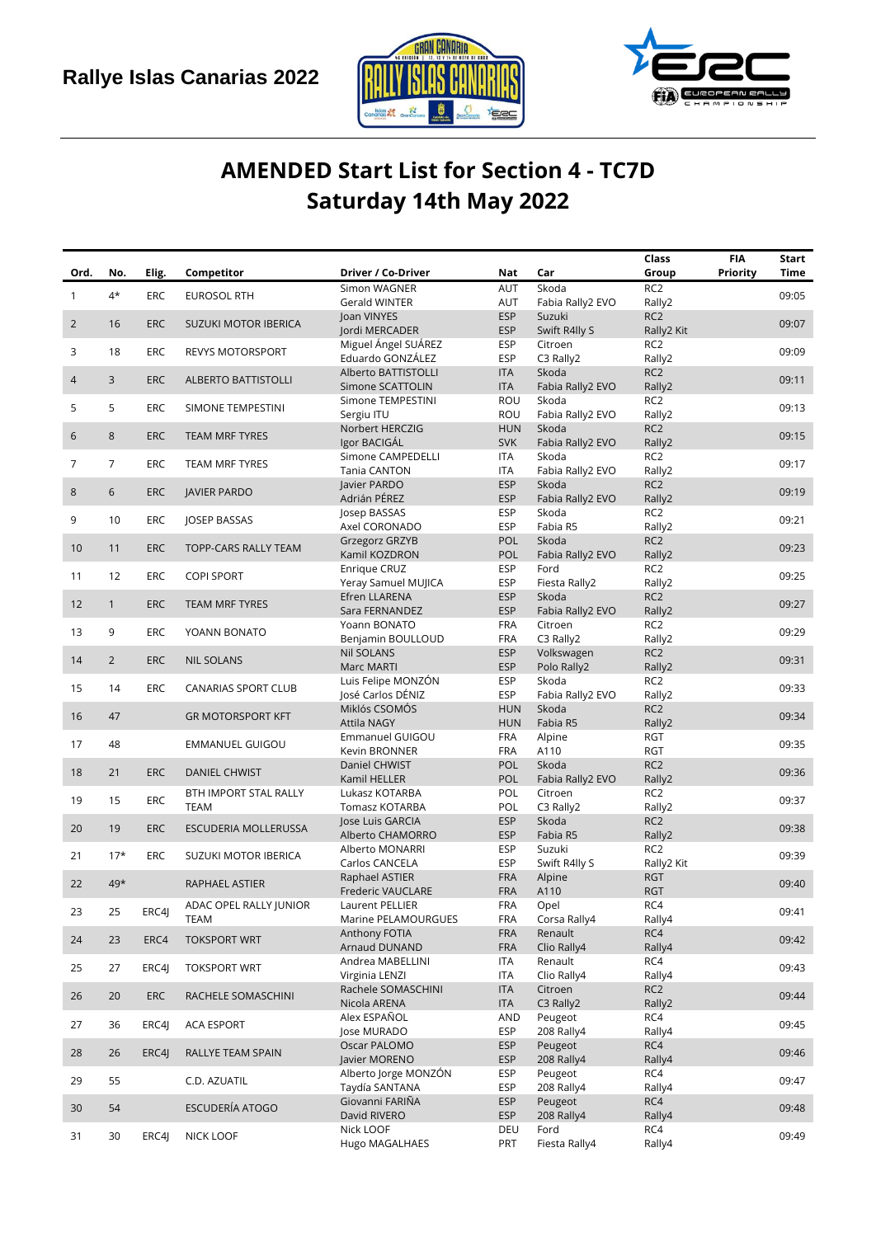



## **AMENDED Start List for Section 4 - TC7D Saturday 14th May 2022**

| Ord.           |                |            |                             |                                         | Nat                      | Car                         | Class<br>Group                | <b>FIA</b><br>Priority | Start<br>Time |
|----------------|----------------|------------|-----------------------------|-----------------------------------------|--------------------------|-----------------------------|-------------------------------|------------------------|---------------|
|                | No.            | Elig.      | Competitor                  | Driver / Co-Driver<br>Simon WAGNER      | AUT                      | Skoda                       | RC <sub>2</sub>               |                        |               |
| $\mathbf{1}$   | $4^{\star}$    | ERC        | <b>EUROSOL RTH</b>          | Gerald WINTER                           | AUT                      | Fabia Rally2 EVO            | Rally2                        |                        | 09:05         |
|                |                |            |                             | Joan VINYES                             | <b>ESP</b>               | Suzuki                      | RC <sub>2</sub>               |                        |               |
| $\overline{2}$ | 16             | <b>ERC</b> | <b>SUZUKI MOTOR IBERICA</b> | Jordi MERCADER                          | <b>ESP</b>               | Swift R4lly S               | Rally2 Kit                    |                        | 09:07         |
| 3              | 18             | ERC        | <b>REVYS MOTORSPORT</b>     | Miguel Ángel SUÁREZ                     | <b>ESP</b>               | Citroen                     | RC <sub>2</sub>               |                        | 09:09         |
|                |                |            |                             | Eduardo GONZÁLEZ<br>Alberto BATTISTOLLI | <b>ESP</b><br><b>ITA</b> | C3 Rally2<br>Skoda          | Rally2<br>RC <sub>2</sub>     |                        |               |
| $\overline{4}$ | 3              | <b>ERC</b> | <b>ALBERTO BATTISTOLLI</b>  | Simone SCATTOLIN                        | <b>ITA</b>               | Fabia Rally2 EVO            | Rally2                        |                        | 09:11         |
| 5              | 5              | ERC        |                             | Simone TEMPESTINI                       | ROU                      | Skoda                       | RC <sub>2</sub>               |                        | 09:13         |
|                |                |            | SIMONE TEMPESTINI           | Sergiu ITU                              | ROU                      | Fabia Rally2 EVO            | Rally2                        |                        |               |
| 6              | 8              | <b>ERC</b> | TEAM MRF TYRES              | Norbert HERCZIG                         | <b>HUN</b>               | Skoda                       | RC <sub>2</sub>               |                        | 09:15         |
|                |                |            |                             | Igor BACIGAL<br>Simone CAMPEDELLI       | <b>SVK</b><br>ITA        | Fabia Rally2 EVO<br>Skoda   | Rally2<br>RC <sub>2</sub>     |                        |               |
| 7              | 7              | ERC        | TEAM MRF TYRES              | Tania CANTON                            | <b>ITA</b>               | Fabia Rally2 EVO            | Rally2                        |                        | 09:17         |
| 8              | 6              | <b>ERC</b> | <b>JAVIER PARDO</b>         | Javier PARDO                            | <b>ESP</b>               | Skoda                       | RC <sub>2</sub>               |                        | 09:19         |
|                |                |            |                             | Adrián PÉREZ                            | <b>ESP</b>               | Fabia Rally2 EVO            | Rally2                        |                        |               |
| 9              | 10             | ERC        | <b>JOSEP BASSAS</b>         | Josep BASSAS                            | <b>ESP</b>               | Skoda                       | RC <sub>2</sub>               |                        | 09:21         |
|                |                |            |                             | Axel CORONADO<br>Grzegorz GRZYB         | <b>ESP</b><br>POL        | Fabia R5<br>Skoda           | Rally2<br>RC <sub>2</sub>     |                        |               |
| 10             | 11             | <b>ERC</b> | TOPP-CARS RALLY TEAM        | Kamil KOZDRON                           | POL                      | Fabia Rally2 EVO            | Rally2                        |                        | 09:23         |
| 11             | 12             | ERC        | <b>COPI SPORT</b>           | Enrique CRUZ                            | <b>ESP</b>               | Ford                        | RC <sub>2</sub>               |                        | 09:25         |
|                |                |            |                             | Yeray Samuel MUJICA                     | <b>ESP</b>               | Fiesta Rally2               | Rally2                        |                        |               |
| 12             | $\mathbf{1}$   | <b>ERC</b> | TEAM MRF TYRES              | Efren LLARENA<br>Sara FERNANDEZ         | <b>ESP</b><br><b>ESP</b> | Skoda                       | RC <sub>2</sub><br>Rally2     |                        | 09:27         |
|                |                |            |                             | Yoann BONATO                            | <b>FRA</b>               | Fabia Rally2 EVO<br>Citroen | RC <sub>2</sub>               |                        |               |
| 13             | 9              | ERC        | YOANN BONATO                | Benjamin BOULLOUD                       | <b>FRA</b>               | C3 Rally2                   | Rally2                        |                        | 09:29         |
| 14             | $\overline{2}$ | <b>ERC</b> | <b>NIL SOLANS</b>           | <b>Nil SOLANS</b>                       | <b>ESP</b>               | Volkswagen                  | RC <sub>2</sub>               |                        | 09:31         |
|                |                |            |                             | <b>Marc MARTI</b>                       | <b>ESP</b>               | Polo Rally2                 | Rally2                        |                        |               |
| 15             | 14             | ERC        | CANARIAS SPORT CLUB         | Luis Felipe MONZÓN<br>José Carlos DÉNIZ | <b>ESP</b><br><b>ESP</b> | Skoda<br>Fabia Rally2 EVO   | RC <sub>2</sub><br>Rally2     |                        | 09:33         |
|                |                |            |                             | Miklós CSOMÓS                           | <b>HUN</b>               | Skoda                       | RC <sub>2</sub>               |                        |               |
| 16             | 47             |            | <b>GR MOTORSPORT KFT</b>    | <b>Attila NAGY</b>                      | <b>HUN</b>               | Fabia R5                    | Rally2                        |                        | 09:34         |
| 17             | 48             |            | EMMANUEL GUIGOU             | Emmanuel GUIGOU                         | <b>FRA</b>               | Alpine                      | <b>RGT</b>                    |                        | 09:35         |
|                |                |            |                             | Kevin BRONNER                           | <b>FRA</b>               | A110                        | <b>RGT</b>                    |                        |               |
| 18             | 21             | <b>ERC</b> | <b>DANIEL CHWIST</b>        | Daniel CHWIST<br>Kamil HELLER           | <b>POL</b><br><b>POL</b> | Skoda<br>Fabia Rally2 EVO   | RC <sub>2</sub><br>Rally2     |                        | 09:36         |
|                |                |            | BTH IMPORT STAL RALLY       | Lukasz KOTARBA                          | POL                      | Citroen                     | RC <sub>2</sub>               |                        |               |
| 19             | 15             | ERC        | <b>TEAM</b>                 | Tomasz KOTARBA                          | POL                      | C3 Rally2                   | Rally2                        |                        | 09:37         |
| 20             | 19             | <b>ERC</b> | ESCUDERIA MOLLERUSSA        | Jose Luis GARCIA                        | <b>ESP</b>               | Skoda                       | RC <sub>2</sub>               |                        | 09:38         |
|                |                |            |                             | Alberto CHAMORRO                        | <b>ESP</b>               | Fabia R5                    | Rally2                        |                        |               |
| 21             | $17*$          | <b>ERC</b> | SUZUKI MOTOR IBERICA        | Alberto MONARRI<br>Carlos CANCELA       | <b>ESP</b><br><b>ESP</b> | Suzuki<br>Swift R4lly S     | RC <sub>2</sub><br>Rally2 Kit |                        | 09:39         |
|                |                |            |                             | Raphael ASTIER                          | <b>FRA</b>               | Alpine                      | <b>RGT</b>                    |                        |               |
| 22             | 49*            |            | RAPHAEL ASTIER              | Frederic VAUCLARE                       | <b>FRA</b>               | A110                        | <b>RGT</b>                    |                        | 09:40         |
| 23             | 25             | ERC4J      | ADAC OPEL RALLY JUNIOR      | Laurent PELLIER                         | <b>FRA</b>               | Opel                        | RC4                           |                        | 09:41         |
|                |                |            | <b>TEAM</b>                 | Marine PELAMOURGUES<br>Anthony FOTIA    | <b>FRA</b><br><b>FRA</b> | Corsa Rally4<br>Renault     | Rally4<br>RC4                 |                        |               |
| 24             | 23             | ERC4       | <b>TOKSPORT WRT</b>         | Arnaud DUNAND                           | <b>FRA</b>               | Clio Rally4                 | Rally4                        |                        | 09:42         |
|                |                |            |                             | Andrea MABELLINI                        | <b>ITA</b>               | Renault                     | RC4                           |                        |               |
| 25             | 27             | ERC4J      | <b>TOKSPORT WRT</b>         | Virginia LENZI                          | ITA                      | Clio Rally4                 | Rally4                        |                        | 09:43         |
| 26             | 20             | <b>ERC</b> | RACHELE SOMASCHINI          | Rachele SOMASCHINI                      | <b>ITA</b>               | Citroen                     | RC <sub>2</sub>               |                        | 09:44         |
|                |                |            |                             | Nicola ARENA<br>Alex ESPAÑOL            | <b>ITA</b><br>AND        | C3 Rally2<br>Peugeot        | Rally2<br>RC4                 |                        |               |
| 27             | 36             | ERC4J      | <b>ACA ESPORT</b>           | Jose MURADO                             | <b>ESP</b>               | 208 Rally4                  | Rally4                        |                        | 09:45         |
|                |                |            |                             | Oscar PALOMO                            | <b>ESP</b>               | Peugeot                     | RC4                           |                        |               |
| 28             | 26             | ERC4J      | RALLYE TEAM SPAIN           | Javier MORENO                           | <b>ESP</b>               | 208 Rally4                  | Rally4                        |                        | 09:46         |
| 29             | 55             |            | C.D. AZUATIL                | Alberto Jorge MONZÓN                    | <b>ESP</b>               | Peugeot                     | RC4                           |                        | 09:47         |
|                |                |            |                             | Taydía SANTANA<br>Giovanni FARIÑA       | <b>ESP</b><br><b>ESP</b> | 208 Rally4<br>Peugeot       | Rally4<br>RC4                 |                        |               |
| 30             | 54             |            | <b>ESCUDERÍA ATOGO</b>      | David RIVERO                            | <b>ESP</b>               | 208 Rally4                  | Rally4                        |                        | 09:48         |
| 31             | 30             | ERC4J      | NICK LOOF                   | Nick LOOF                               | DEU                      | Ford                        | RC4                           |                        | 09:49         |
|                |                |            |                             | Hugo MAGALHAES                          | PRT                      | Fiesta Rally4               | Rally4                        |                        |               |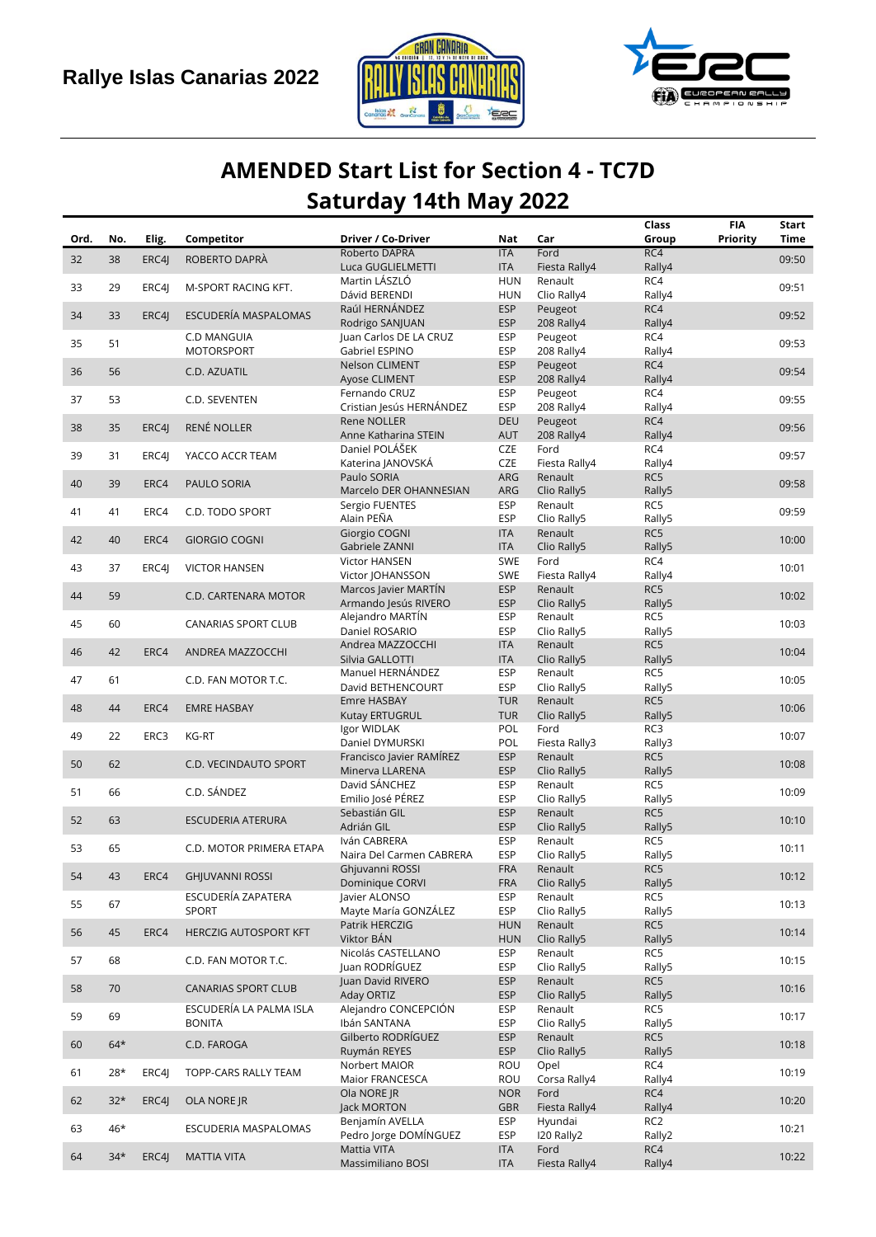



## **AMENDED Start List for Section 4 - TC7D Saturday 14th May 2022**

|      |       |       |                              |                                          |                          |                          | Class           | <b>FIA</b> | <b>Start</b> |
|------|-------|-------|------------------------------|------------------------------------------|--------------------------|--------------------------|-----------------|------------|--------------|
| Ord. | No.   | Elig. | Competitor                   | Driver / Co-Driver                       | Nat                      | Car                      | Group           | Priority   | Time         |
| 32   | 38    | ERC4J | ROBERTO DAPRÀ                | Roberto DAPRÀ                            | <b>ITA</b>               | Ford                     | RC4             |            | 09:50        |
|      |       |       |                              | Luca GUGLIELMETTI                        | <b>ITA</b>               | Fiesta Rally4            | Rally4          |            |              |
| 33   | 29    | ERC4J | M-SPORT RACING KFT.          | Martin LÁSZLÓ<br>Dávid BERENDI           | HUN<br><b>HUN</b>        | Renault<br>Clio Rally4   | RC4<br>Rally4   |            | 09:51        |
|      |       |       |                              | Raúl HERNÁNDEZ                           | <b>ESP</b>               | Peugeot                  | RC4             |            |              |
| 34   | 33    | ERC4  | ESCUDERÍA MASPALOMAS         | Rodrigo SANJUAN                          | <b>ESP</b>               | 208 Rally4               | Rally4          |            | 09:52        |
|      |       |       | C.D MANGUIA                  | Juan Carlos DE LA CRUZ                   | <b>ESP</b>               | Peugeot                  | RC4             |            |              |
| 35   | 51    |       | <b>MOTORSPORT</b>            | Gabriel ESPINO                           | <b>ESP</b>               | 208 Rally4               | Rally4          |            | 09:53        |
|      |       |       |                              | Nelson CLIMENT                           | <b>ESP</b>               | Peugeot                  | RC4             |            |              |
| 36   | 56    |       | C.D. AZUATIL                 | Ayose CLIMENT                            | <b>ESP</b>               | 208 Rally4               | Rally4          |            | 09:54        |
|      |       |       |                              | Fernando CRUZ                            | <b>ESP</b>               | Peugeot                  | RC4             |            |              |
| 37   | 53    |       | C.D. SEVENTEN                | Cristian Jesús HERNÁNDEZ                 | <b>ESP</b>               | 208 Rally4               | Rally4          |            | 09:55        |
| 38   | 35    | ERC4J | RENÉ NOLLER                  | <b>Rene NOLLER</b>                       | <b>DEU</b>               | Peugeot                  | RC4             |            | 09:56        |
|      |       |       |                              | Anne Katharina STEIN                     | <b>AUT</b>               | 208 Rally4               | Rally4          |            |              |
| 39   | 31    | ERC4J | YACCO ACCR TEAM              | Daniel POLÁŠEK                           | CZE                      | Ford                     | RC4             |            | 09:57        |
|      |       |       |                              | Katerina JANOVSKÁ                        | CZE                      | Fiesta Rally4            | Rally4          |            |              |
| 40   | 39    | ERC4  | PAULO SORIA                  | Paulo SORIA                              | ARG                      | Renault                  | RC5             |            | 09:58        |
|      |       |       |                              | Marcelo DER OHANNESIAN<br>Sergio FUENTES | ARG<br><b>ESP</b>        | Clio Rally5<br>Renault   | Rally5<br>RC5   |            |              |
| 41   | 41    | ERC4  | C.D. TODO SPORT              | Alain PEÑA                               | <b>ESP</b>               | Clio Rally5              | Rally5          |            | 09:59        |
|      |       |       |                              | Giorgio COGNI                            | <b>ITA</b>               | Renault                  | RC5             |            |              |
| 42   | 40    | ERC4  | <b>GIORGIO COGNI</b>         | Gabriele ZANNI                           | <b>ITA</b>               | Clio Rally5              | Rally5          |            | 10:00        |
|      |       |       |                              | Victor HANSEN                            | SWE                      | Ford                     | RC4             |            |              |
| 43   | 37    | ERC4  | <b>VICTOR HANSEN</b>         | Victor JOHANSSON                         | SWE                      | Fiesta Rally4            | Rally4          |            | 10:01        |
|      |       |       |                              | Marcos Javier MARTIN                     | <b>ESP</b>               | Renault                  | RC5             |            |              |
| 44   | 59    |       | C.D. CARTENARA MOTOR         | Armando Jesús RIVERO                     | <b>ESP</b>               | Clio Rally5              | Rally5          |            | 10:02        |
| 45   | 60    |       | CANARIAS SPORT CLUB          | Alejandro MARTÍN                         | <b>ESP</b>               | Renault                  | RC5             |            | 10:03        |
|      |       |       |                              | Daniel ROSARIO                           | <b>ESP</b>               | Clio Rally5              | Rally5          |            |              |
| 46   | 42    | ERC4  | ANDREA MAZZOCCHI             | Andrea MAZZOCCHI                         | <b>ITA</b>               | Renault                  | RC5             |            | 10:04        |
|      |       |       |                              | Silvia GALLOTTI                          | <b>ITA</b>               | Clio Rally5              | Rally5          |            |              |
| 47   | 61    |       | C.D. FAN MOTOR T.C.          | Manuel HERNÁNDEZ                         | <b>ESP</b>               | Renault                  | RC5             |            | 10:05        |
|      |       |       |                              | David BETHENCOURT                        | <b>ESP</b>               | Clio Rally5              | Rally5          |            |              |
| 48   | 44    | ERC4  | <b>EMRE HASBAY</b>           | Emre HASBAY                              | <b>TUR</b>               | Renault                  | RC5             |            | 10:06        |
|      |       |       |                              | <b>Kutay ERTUGRUL</b>                    | <b>TUR</b>               | Clio Rally5              | Rally5          |            |              |
| 49   | 22    | ERC3  | <b>KG-RT</b>                 | Igor WIDLAK<br>Daniel DYMURSKI           | POL<br>POL               | Ford                     | RC3<br>Rally3   |            | 10:07        |
|      |       |       |                              | Francisco Javier RAMÍREZ                 | <b>ESP</b>               | Fiesta Rally3<br>Renault | RC5             |            |              |
| 50   | 62    |       | C.D. VECINDAUTO SPORT        | Minerva LLARENA                          | <b>ESP</b>               | Clio Rally5              | Rally5          |            | 10:08        |
|      |       |       |                              | David SÁNCHEZ                            | <b>ESP</b>               | Renault                  | RC5             |            |              |
| 51   | 66    |       | C.D. SÁNDEZ                  | Emilio José PÉREZ                        | <b>ESP</b>               | Clio Rally5              | Rally5          |            | 10:09        |
|      |       |       |                              | Sebastián GIL                            | <b>ESP</b>               | Renault                  | RC5             |            |              |
| 52   | 63    |       | ESCUDERIA ATERURA            | Adrián GIL                               | <b>ESP</b>               | Clio Rally5              | Rally5          |            | 10:10        |
| 53   | 65    |       | C.D. MOTOR PRIMERA ETAPA     | Iván CABRERA                             | <b>ESP</b>               | Renault                  | RC5             |            | 10:11        |
|      |       |       |                              | Naira Del Carmen CABRERA                 | ESP                      | Clio Rally5              | Rally5          |            |              |
| 54   | 43    | ERC4  | <b>GHIUVANNI ROSSI</b>       | Ghjuvanni ROSSI                          | <b>FRA</b>               | Renault                  | RC5             |            | 10:12        |
|      |       |       |                              | Dominique CORVI                          | <b>FRA</b>               | Clio Rally5              | Rally5          |            |              |
| 55   | 67    |       | ESCUDERÍA ZAPATERA           | Javier ALONSO                            | <b>ESP</b>               | Renault                  | RC5             |            | 10:13        |
|      |       |       | SPORT                        | Mayte María GONZÁLEZ                     | <b>ESP</b>               | Clio Rally5              | Rally5          |            |              |
| 56   | 45    | ERC4  | <b>HERCZIG AUTOSPORT KFT</b> | Patrik HERCZIG                           | <b>HUN</b>               | Renault                  | RC5             |            | 10:14        |
|      |       |       |                              | Viktor BÁN<br>Nicolás CASTELLANO         | <b>HUN</b><br><b>ESP</b> | Clio Rally5<br>Renault   | Rally5<br>RC5   |            |              |
| 57   | 68    |       | C.D. FAN MOTOR T.C.          | Juan RODRÍGUEZ                           | <b>ESP</b>               | Clio Rally5              | Rally5          |            | 10:15        |
|      |       |       |                              | Juan David RIVERO                        | <b>ESP</b>               | Renault                  | RC5             |            |              |
| 58   | 70    |       | <b>CANARIAS SPORT CLUB</b>   | Aday ORTIZ                               | <b>ESP</b>               | Clio Rally5              | Rally5          |            | 10:16        |
|      |       |       | ESCUDERÍA LA PALMA ISLA      | Alejandro CONCEPCIÓN                     | ESP                      | Renault                  | RC5             |            |              |
| 59   | 69    |       | <b>BONITA</b>                | Ibán SANTANA                             | ESP                      | Clio Rally5              | Rally5          |            | 10:17        |
|      | $64*$ |       |                              | Gilberto RODRÍGUEZ                       | <b>ESP</b>               | Renault                  | RC5             |            |              |
| 60   |       |       | C.D. FAROGA                  | Ruymán REYES                             | <b>ESP</b>               | Clio Rally5              | Rally5          |            | 10:18        |
| 61   | $28*$ | ERC4J | TOPP-CARS RALLY TEAM         | Norbert MAIOR                            | ROU                      | Opel                     | RC4             |            | 10:19        |
|      |       |       |                              | Maior FRANCESCA                          | ROU                      | Corsa Rally4             | Rally4          |            |              |
| 62   | $32*$ | ERC4J | OLA NORE JR                  | Ola NORE JR                              | <b>NOR</b>               | Ford                     | RC4             |            | 10:20        |
|      |       |       |                              | Jack MORTON                              | GBR                      | Fiesta Rally4            | Rally4          |            |              |
| 63   | 46*   |       | ESCUDERIA MASPALOMAS         | Benjamín AVELLA                          | <b>ESP</b>               | Hyundai                  | RC <sub>2</sub> |            | 10:21        |
|      |       |       |                              | Pedro Jorge DOMÍNGUEZ                    | ESP                      | I20 Rally2               | Rally2          |            |              |
| 64   | $34*$ | ERC4J | <b>MATTIA VITA</b>           | Mattia VITA                              | <b>ITA</b>               | Ford                     | RC4             |            | 10:22        |
|      |       |       |                              | Massimiliano BOSI                        | <b>ITA</b>               | Fiesta Rally4            | Rally4          |            |              |